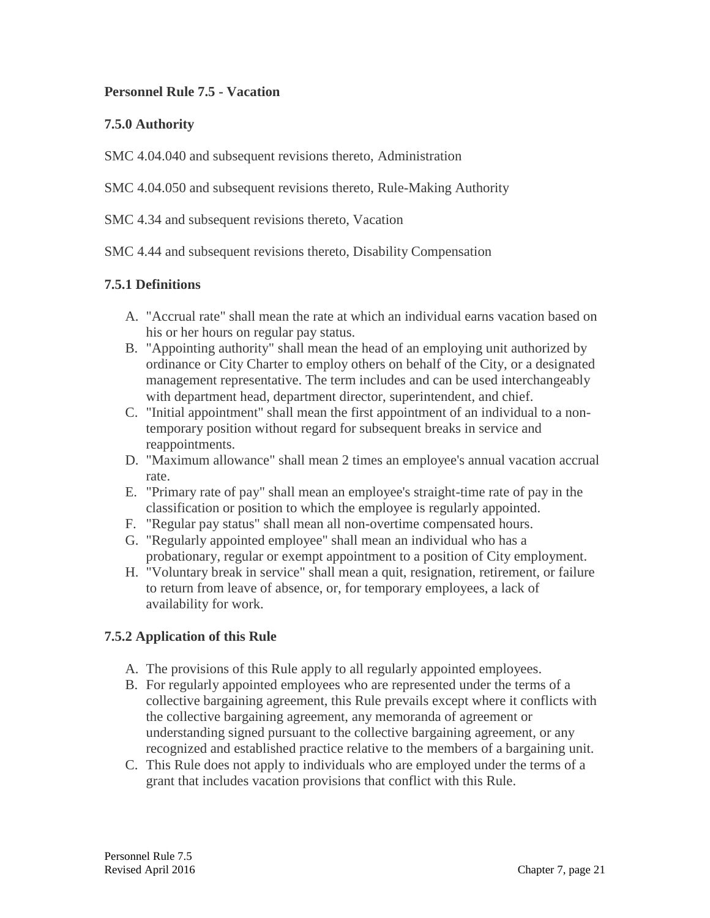### **Personnel Rule 7.5 - Vacation**

### **7.5.0 Authority**

SMC 4.04.040 and subsequent revisions thereto, Administration

SMC 4.04.050 and subsequent revisions thereto, Rule-Making Authority

SMC 4.34 and subsequent revisions thereto, Vacation

SMC 4.44 and subsequent revisions thereto, Disability Compensation

# **7.5.1 Definitions**

- A. "Accrual rate" shall mean the rate at which an individual earns vacation based on his or her hours on regular pay status.
- B. "Appointing authority" shall mean the head of an employing unit authorized by ordinance or City Charter to employ others on behalf of the City, or a designated management representative. The term includes and can be used interchangeably with department head, department director, superintendent, and chief.
- C. "Initial appointment" shall mean the first appointment of an individual to a nontemporary position without regard for subsequent breaks in service and reappointments.
- D. "Maximum allowance" shall mean 2 times an employee's annual vacation accrual rate.
- E. "Primary rate of pay" shall mean an employee's straight-time rate of pay in the classification or position to which the employee is regularly appointed.
- F. "Regular pay status" shall mean all non-overtime compensated hours.
- G. "Regularly appointed employee" shall mean an individual who has a probationary, regular or exempt appointment to a position of City employment.
- H. "Voluntary break in service" shall mean a quit, resignation, retirement, or failure to return from leave of absence, or, for temporary employees, a lack of availability for work.

# **7.5.2 Application of this Rule**

- A. The provisions of this Rule apply to all regularly appointed employees.
- B. For regularly appointed employees who are represented under the terms of a collective bargaining agreement, this Rule prevails except where it conflicts with the collective bargaining agreement, any memoranda of agreement or understanding signed pursuant to the collective bargaining agreement, or any recognized and established practice relative to the members of a bargaining unit.
- C. This Rule does not apply to individuals who are employed under the terms of a grant that includes vacation provisions that conflict with this Rule.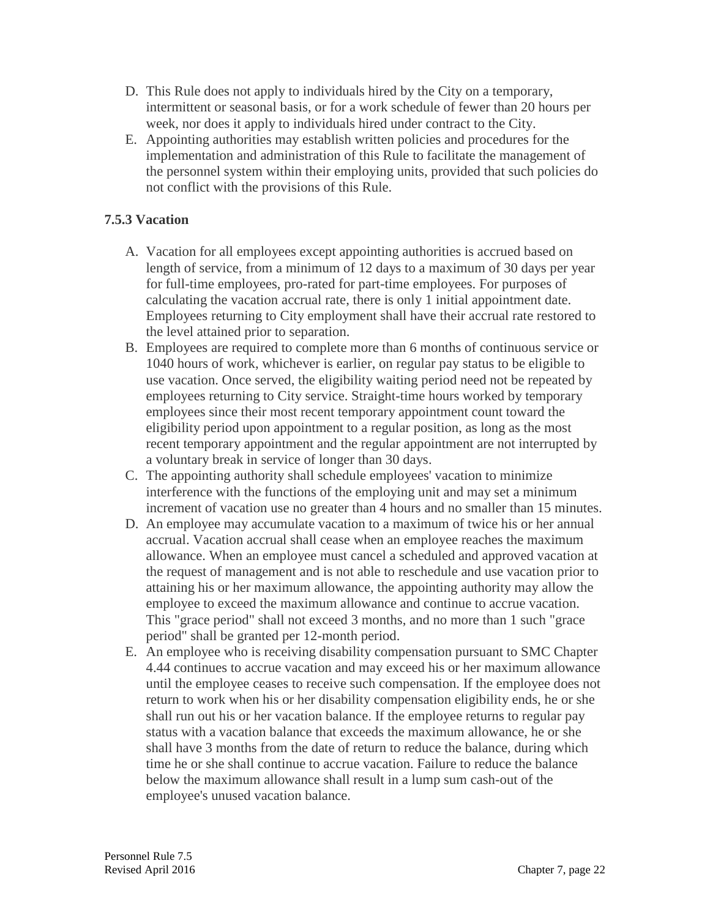- D. This Rule does not apply to individuals hired by the City on a temporary, intermittent or seasonal basis, or for a work schedule of fewer than 20 hours per week, nor does it apply to individuals hired under contract to the City.
- E. Appointing authorities may establish written policies and procedures for the implementation and administration of this Rule to facilitate the management of the personnel system within their employing units, provided that such policies do not conflict with the provisions of this Rule.

# **7.5.3 Vacation**

- A. Vacation for all employees except appointing authorities is accrued based on length of service, from a minimum of 12 days to a maximum of 30 days per year for full-time employees, pro-rated for part-time employees. For purposes of calculating the vacation accrual rate, there is only 1 initial appointment date. Employees returning to City employment shall have their accrual rate restored to the level attained prior to separation.
- B. Employees are required to complete more than 6 months of continuous service or 1040 hours of work, whichever is earlier, on regular pay status to be eligible to use vacation. Once served, the eligibility waiting period need not be repeated by employees returning to City service. Straight-time hours worked by temporary employees since their most recent temporary appointment count toward the eligibility period upon appointment to a regular position, as long as the most recent temporary appointment and the regular appointment are not interrupted by a voluntary break in service of longer than 30 days.
- C. The appointing authority shall schedule employees' vacation to minimize interference with the functions of the employing unit and may set a minimum increment of vacation use no greater than 4 hours and no smaller than 15 minutes.
- D. An employee may accumulate vacation to a maximum of twice his or her annual accrual. Vacation accrual shall cease when an employee reaches the maximum allowance. When an employee must cancel a scheduled and approved vacation at the request of management and is not able to reschedule and use vacation prior to attaining his or her maximum allowance, the appointing authority may allow the employee to exceed the maximum allowance and continue to accrue vacation. This "grace period" shall not exceed 3 months, and no more than 1 such "grace period" shall be granted per 12-month period.
- E. An employee who is receiving disability compensation pursuant to SMC Chapter 4.44 continues to accrue vacation and may exceed his or her maximum allowance until the employee ceases to receive such compensation. If the employee does not return to work when his or her disability compensation eligibility ends, he or she shall run out his or her vacation balance. If the employee returns to regular pay status with a vacation balance that exceeds the maximum allowance, he or she shall have 3 months from the date of return to reduce the balance, during which time he or she shall continue to accrue vacation. Failure to reduce the balance below the maximum allowance shall result in a lump sum cash-out of the employee's unused vacation balance.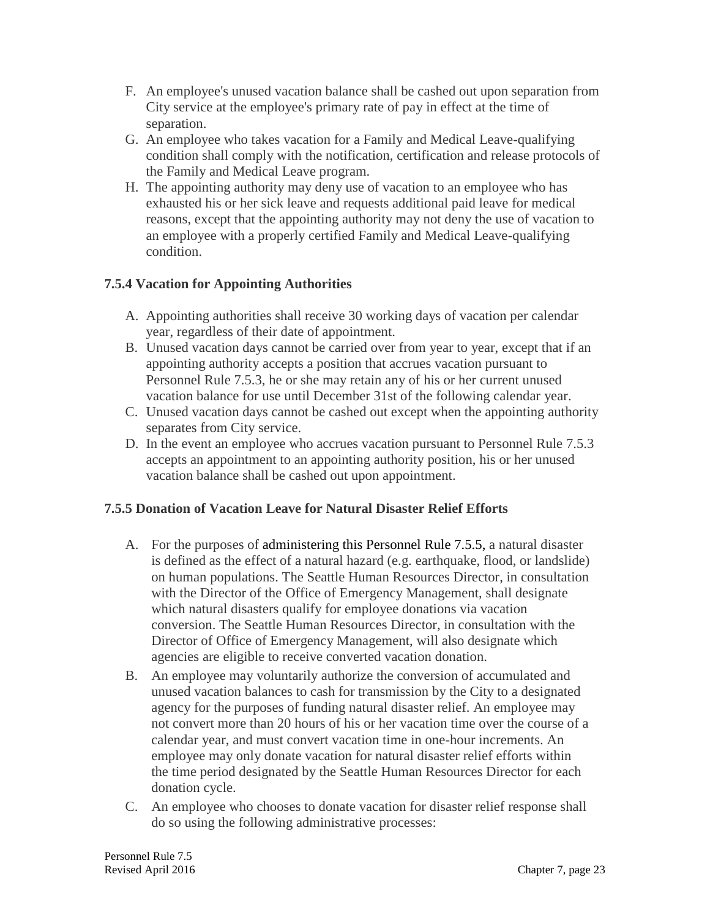- F. An employee's unused vacation balance shall be cashed out upon separation from City service at the employee's primary rate of pay in effect at the time of separation.
- G. An employee who takes vacation for a Family and Medical Leave-qualifying condition shall comply with the notification, certification and release protocols of the Family and Medical Leave program.
- H. The appointing authority may deny use of vacation to an employee who has exhausted his or her sick leave and requests additional paid leave for medical reasons, except that the appointing authority may not deny the use of vacation to an employee with a properly certified Family and Medical Leave-qualifying condition.

# **7.5.4 Vacation for Appointing Authorities**

- A. Appointing authorities shall receive 30 working days of vacation per calendar year, regardless of their date of appointment.
- B. Unused vacation days cannot be carried over from year to year, except that if an appointing authority accepts a position that accrues vacation pursuant to Personnel Rule 7.5.3, he or she may retain any of his or her current unused vacation balance for use until December 31st of the following calendar year.
- C. Unused vacation days cannot be cashed out except when the appointing authority separates from City service.
- D. In the event an employee who accrues vacation pursuant to Personnel Rule 7.5.3 accepts an appointment to an appointing authority position, his or her unused vacation balance shall be cashed out upon appointment.

# **7.5.5 Donation of Vacation Leave for Natural Disaster Relief Efforts**

- A. For the purposes of administering this Personnel Rule 7.5.5, a natural disaster is defined as the effect of a natural hazard (e.g. earthquake, flood, or landslide) on human populations. The Seattle Human Resources Director, in consultation with the Director of the Office of Emergency Management, shall designate which natural disasters qualify for employee donations via vacation conversion. The Seattle Human Resources Director, in consultation with the Director of Office of Emergency Management, will also designate which agencies are eligible to receive converted vacation donation.
- B. An employee may voluntarily authorize the conversion of accumulated and unused vacation balances to cash for transmission by the City to a designated agency for the purposes of funding natural disaster relief. An employee may not convert more than 20 hours of his or her vacation time over the course of a calendar year, and must convert vacation time in one-hour increments. An employee may only donate vacation for natural disaster relief efforts within the time period designated by the Seattle Human Resources Director for each donation cycle.
- C. An employee who chooses to donate vacation for disaster relief response shall do so using the following administrative processes: